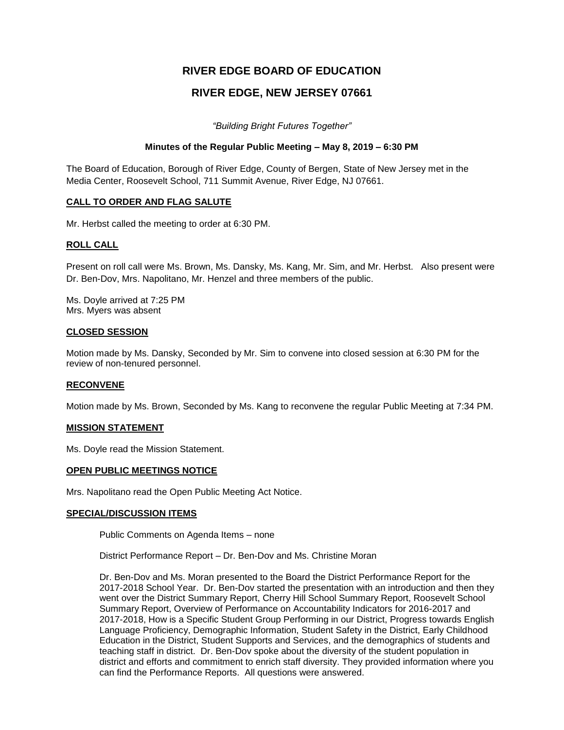# **RIVER EDGE BOARD OF EDUCATION**

# **RIVER EDGE, NEW JERSEY 07661**

*"Building Bright Futures Together"*

#### **Minutes of the Regular Public Meeting – May 8, 2019 – 6:30 PM**

The Board of Education, Borough of River Edge, County of Bergen, State of New Jersey met in the Media Center, Roosevelt School, 711 Summit Avenue, River Edge, NJ 07661.

#### **CALL TO ORDER AND FLAG SALUTE**

Mr. Herbst called the meeting to order at 6:30 PM.

#### **ROLL CALL**

Present on roll call were Ms. Brown, Ms. Dansky, Ms. Kang, Mr. Sim, and Mr. Herbst. Also present were Dr. Ben-Dov, Mrs. Napolitano, Mr. Henzel and three members of the public.

Ms. Doyle arrived at 7:25 PM Mrs. Myers was absent

#### **CLOSED SESSION**

Motion made by Ms. Dansky, Seconded by Mr. Sim to convene into closed session at 6:30 PM for the review of non-tenured personnel.

#### **RECONVENE**

Motion made by Ms. Brown, Seconded by Ms. Kang to reconvene the regular Public Meeting at 7:34 PM.

#### **MISSION STATEMENT**

Ms. Doyle read the Mission Statement.

#### **OPEN PUBLIC MEETINGS NOTICE**

Mrs. Napolitano read the Open Public Meeting Act Notice.

#### **SPECIAL/DISCUSSION ITEMS**

Public Comments on Agenda Items – none

District Performance Report – Dr. Ben-Dov and Ms. Christine Moran

Dr. Ben-Dov and Ms. Moran presented to the Board the District Performance Report for the 2017-2018 School Year. Dr. Ben-Dov started the presentation with an introduction and then they went over the District Summary Report, Cherry Hill School Summary Report, Roosevelt School Summary Report, Overview of Performance on Accountability Indicators for 2016-2017 and 2017-2018, How is a Specific Student Group Performing in our District, Progress towards English Language Proficiency, Demographic Information, Student Safety in the District, Early Childhood Education in the District, Student Supports and Services, and the demographics of students and teaching staff in district. Dr. Ben-Dov spoke about the diversity of the student population in district and efforts and commitment to enrich staff diversity. They provided information where you can find the Performance Reports. All questions were answered.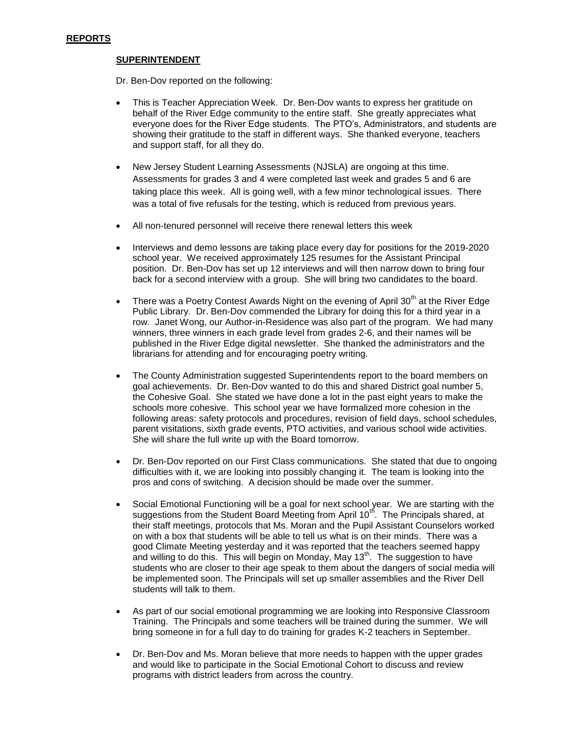#### **SUPERINTENDENT**

Dr. Ben-Dov reported on the following:

- This is Teacher Appreciation Week. Dr. Ben-Dov wants to express her gratitude on behalf of the River Edge community to the entire staff. She greatly appreciates what everyone does for the River Edge students. The PTO's, Administrators, and students are showing their gratitude to the staff in different ways. She thanked everyone, teachers and support staff, for all they do.
- New Jersey Student Learning Assessments (NJSLA) are ongoing at this time. Assessments for grades 3 and 4 were completed last week and grades 5 and 6 are taking place this week. All is going well, with a few minor technological issues. There was a total of five refusals for the testing, which is reduced from previous years.
- All non-tenured personnel will receive there renewal letters this week
- Interviews and demo lessons are taking place every day for positions for the 2019-2020 school year. We received approximately 125 resumes for the Assistant Principal position. Dr. Ben-Dov has set up 12 interviews and will then narrow down to bring four back for a second interview with a group. She will bring two candidates to the board.
- There was a Poetry Contest Awards Night on the evening of April 30<sup>th</sup> at the River Edge Public Library. Dr. Ben-Dov commended the Library for doing this for a third year in a row. Janet Wong, our Author-in-Residence was also part of the program. We had many winners, three winners in each grade level from grades 2-6, and their names will be published in the River Edge digital newsletter. She thanked the administrators and the librarians for attending and for encouraging poetry writing.
- The County Administration suggested Superintendents report to the board members on goal achievements. Dr. Ben-Dov wanted to do this and shared District goal number 5, the Cohesive Goal. She stated we have done a lot in the past eight years to make the schools more cohesive. This school year we have formalized more cohesion in the following areas: safety protocols and procedures, revision of field days, school schedules, parent visitations, sixth grade events, PTO activities, and various school wide activities. She will share the full write up with the Board tomorrow.
- Dr. Ben-Dov reported on our First Class communications. She stated that due to ongoing difficulties with it, we are looking into possibly changing it. The team is looking into the pros and cons of switching. A decision should be made over the summer.
- Social Emotional Functioning will be a goal for next school year. We are starting with the suggestions from the Student Board Meeting from April  $10^{th}$ . The Principals shared, at their staff meetings, protocols that Ms. Moran and the Pupil Assistant Counselors worked on with a box that students will be able to tell us what is on their minds. There was a good Climate Meeting yesterday and it was reported that the teachers seemed happy and willing to do this. This will begin on Monday, May 13<sup>th</sup>. The suggestion to have students who are closer to their age speak to them about the dangers of social media will be implemented soon. The Principals will set up smaller assemblies and the River Dell students will talk to them.
- As part of our social emotional programming we are looking into Responsive Classroom Training. The Principals and some teachers will be trained during the summer. We will bring someone in for a full day to do training for grades K-2 teachers in September.
- Dr. Ben-Dov and Ms. Moran believe that more needs to happen with the upper grades and would like to participate in the Social Emotional Cohort to discuss and review programs with district leaders from across the country.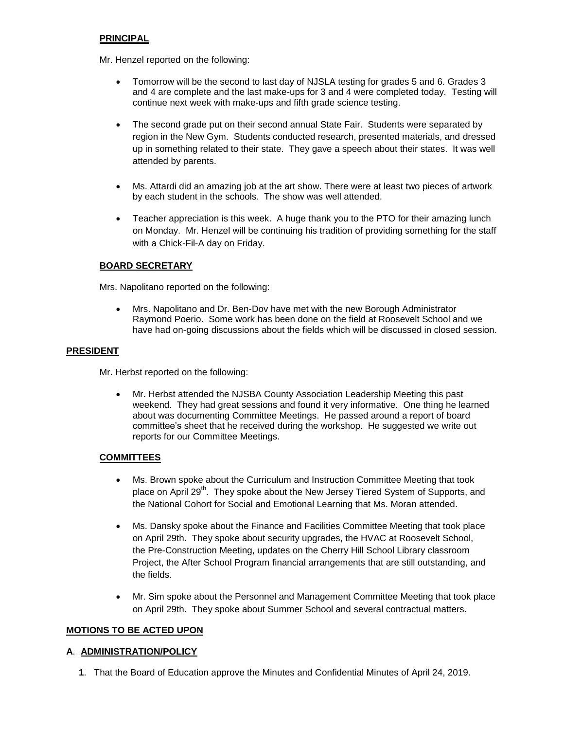## **PRINCIPAL**

Mr. Henzel reported on the following:

- Tomorrow will be the second to last day of NJSLA testing for grades 5 and 6. Grades 3 and 4 are complete and the last make-ups for 3 and 4 were completed today. Testing will continue next week with make-ups and fifth grade science testing.
- The second grade put on their second annual State Fair. Students were separated by region in the New Gym. Students conducted research, presented materials, and dressed up in something related to their state. They gave a speech about their states. It was well attended by parents.
- Ms. Attardi did an amazing job at the art show. There were at least two pieces of artwork by each student in the schools. The show was well attended.
- Teacher appreciation is this week. A huge thank you to the PTO for their amazing lunch on Monday. Mr. Henzel will be continuing his tradition of providing something for the staff with a Chick-Fil-A day on Friday.

### **BOARD SECRETARY**

Mrs. Napolitano reported on the following:

 Mrs. Napolitano and Dr. Ben-Dov have met with the new Borough Administrator Raymond Poerio. Some work has been done on the field at Roosevelt School and we have had on-going discussions about the fields which will be discussed in closed session.

### **PRESIDENT**

Mr. Herbst reported on the following:

 Mr. Herbst attended the NJSBA County Association Leadership Meeting this past weekend. They had great sessions and found it very informative. One thing he learned about was documenting Committee Meetings. He passed around a report of board committee's sheet that he received during the workshop. He suggested we write out reports for our Committee Meetings.

### **COMMITTEES**

- Ms. Brown spoke about the Curriculum and Instruction Committee Meeting that took place on April 29<sup>th</sup>. They spoke about the New Jersey Tiered System of Supports, and the National Cohort for Social and Emotional Learning that Ms. Moran attended.
- Ms. Dansky spoke about the Finance and Facilities Committee Meeting that took place on April 29th. They spoke about security upgrades, the HVAC at Roosevelt School, the Pre-Construction Meeting, updates on the Cherry Hill School Library classroom Project, the After School Program financial arrangements that are still outstanding, and the fields.
- Mr. Sim spoke about the Personnel and Management Committee Meeting that took place on April 29th. They spoke about Summer School and several contractual matters.

### **MOTIONS TO BE ACTED UPON**

### **A**. **ADMINISTRATION/POLICY**

**1**. That the Board of Education approve the Minutes and Confidential Minutes of April 24, 2019.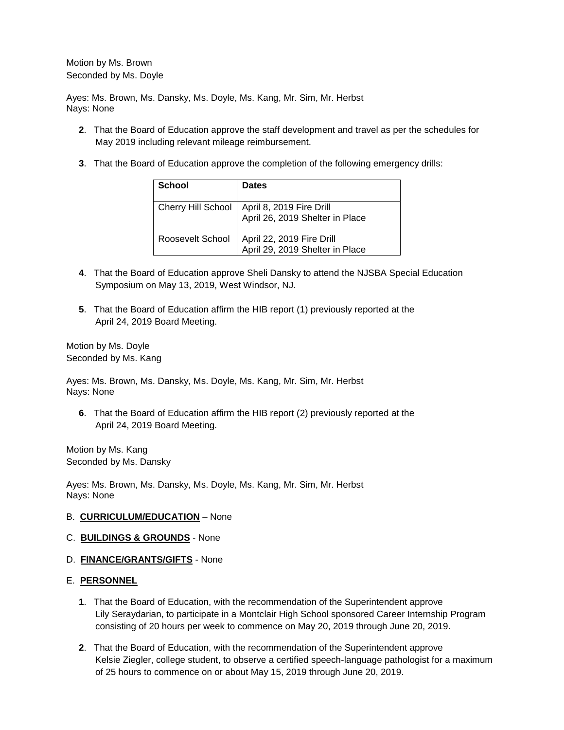Motion by Ms. Brown Seconded by Ms. Doyle

Ayes: Ms. Brown, Ms. Dansky, Ms. Doyle, Ms. Kang, Mr. Sim, Mr. Herbst Nays: None

- **2**. That the Board of Education approve the staff development and travel as per the schedules for May 2019 including relevant mileage reimbursement.
- **3**. That the Board of Education approve the completion of the following emergency drills:

| <b>School</b>      | <b>Dates</b>                                                 |
|--------------------|--------------------------------------------------------------|
| Cherry Hill School | April 8, 2019 Fire Drill<br>April 26, 2019 Shelter in Place  |
| Roosevelt School   | April 22, 2019 Fire Drill<br>April 29, 2019 Shelter in Place |

- **4**. That the Board of Education approve Sheli Dansky to attend the NJSBA Special Education Symposium on May 13, 2019, West Windsor, NJ.
- **5**. That the Board of Education affirm the HIB report (1) previously reported at the April 24, 2019 Board Meeting.

Motion by Ms. Doyle Seconded by Ms. Kang

Ayes: Ms. Brown, Ms. Dansky, Ms. Doyle, Ms. Kang, Mr. Sim, Mr. Herbst Nays: None

**6**. That the Board of Education affirm the HIB report (2) previously reported at the April 24, 2019 Board Meeting.

Motion by Ms. Kang Seconded by Ms. Dansky

Ayes: Ms. Brown, Ms. Dansky, Ms. Doyle, Ms. Kang, Mr. Sim, Mr. Herbst Nays: None

#### B. **CURRICULUM/EDUCATION** – None

#### C. **BUILDINGS & GROUNDS** - None

D. **FINANCE/GRANTS/GIFTS** - None

### E. **PERSONNEL**

- **1**. That the Board of Education, with the recommendation of the Superintendent approve Lily Seraydarian, to participate in a Montclair High School sponsored Career Internship Program consisting of 20 hours per week to commence on May 20, 2019 through June 20, 2019.
- **2**. That the Board of Education, with the recommendation of the Superintendent approve Kelsie Ziegler, college student, to observe a certified speech-language pathologist for a maximum of 25 hours to commence on or about May 15, 2019 through June 20, 2019.